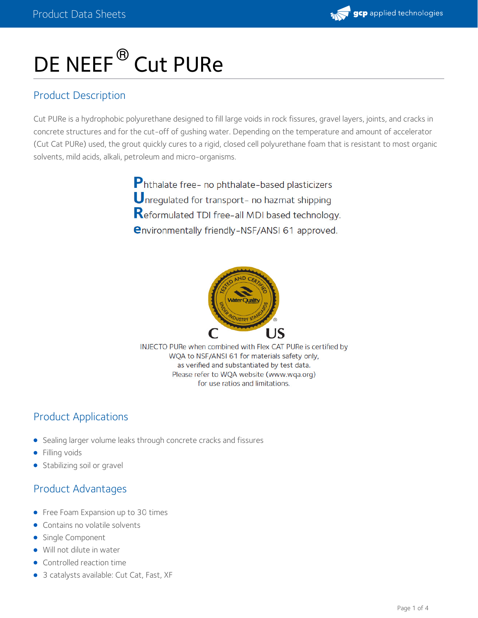

# DE NEEF<sup>®</sup> Cut PURe

## Product Description

Cut PURe is a hydrophobic polyurethane designed to fill large voids in rock fissures, gravel layers, joints, and cracks in concrete structures and for the cut-off of gushing water. Depending on the temperature and amount of accelerator (Cut Cat PURe) used, the grout quickly cures to a rigid, closed cell polyurethane foam that is resistant to most organic solvents, mild acids, alkali, petroleum and micro-organisms.

> Phthalate free- no phthalate-based plasticizers Unrequlated for transport- no hazmat shipping Reformulated TDI free-all MDI based technology. **environmentally friendly-NSF/ANSI 61 approved.**



INJECTO PURe when combined with Flex CAT PURe is certified by WQA to NSF/ANSI 61 for materials safety only, as verified and substantiated by test data. Please refer to WQA website (www.wqa.org) for use ratios and limitations.

## Product Applications

- Sealing larger volume leaks through concrete cracks and fissures
- **•** Filling voids
- Stabilizing soil or gravel

## Product Advantages

- Free Foam Expansion up to 30 times
- Contains no volatile solvents
- Single Component
- Will not dilute in water
- Controlled reaction time
- 3 catalysts available: Cut Cat, Fast, XF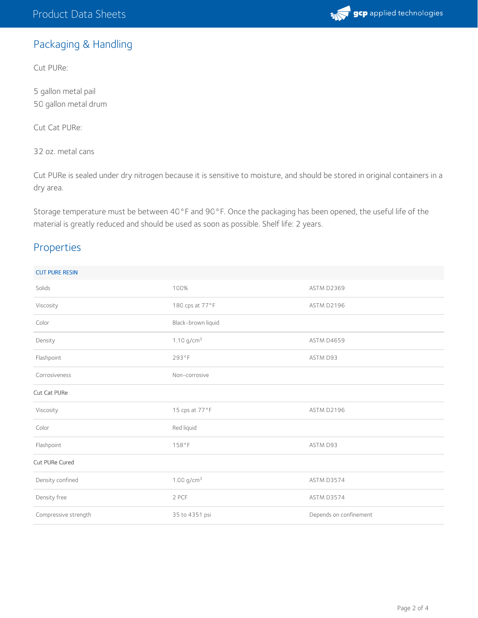

# Packaging & Handling

Cut PURe:

5 gallon metal pail 50 gallon metal drum

Cut Cat PURe:

32 oz. metal cans

Cut PURe is sealed under dry nitrogen because it is sensitive to moisture, and should be stored in original containers in a dry area.

Storage temperature must be between 40°F and 90°F. Once the packaging has been opened, the useful life of the material is greatly reduced and should be used as soon as possible. Shelf life: 2 years.

### Properties

| <b>CUT PURE RESIN</b> |                          |                        |
|-----------------------|--------------------------|------------------------|
| Solids                | 100%                     | ASTM D2369             |
| Viscosity             | 180 cps at 77°F          | ASTM D2196             |
| Color                 | Black-brown liquid       |                        |
| Density               | 1.10 $g/cm^3$            | ASTM D4659             |
| Flashpoint            | 293°F                    | ASTM D93               |
| Corrosiveness         | Non-corrosive            |                        |
| Cut Cat PURe          |                          |                        |
| Viscosity             | 15 cps at 77°F           | ASTM D2196             |
| Color                 | Red liquid               |                        |
| Flashpoint            | 158°F                    | ASTM D93               |
| Cut PURe Cured        |                          |                        |
| Density confined      | $1.00$ g/cm <sup>3</sup> | ASTM D3574             |
| Density free          | 2 PCF                    | ASTM D3574             |
| Compressive strength  | 35 to 4351 psi           | Depends on confinement |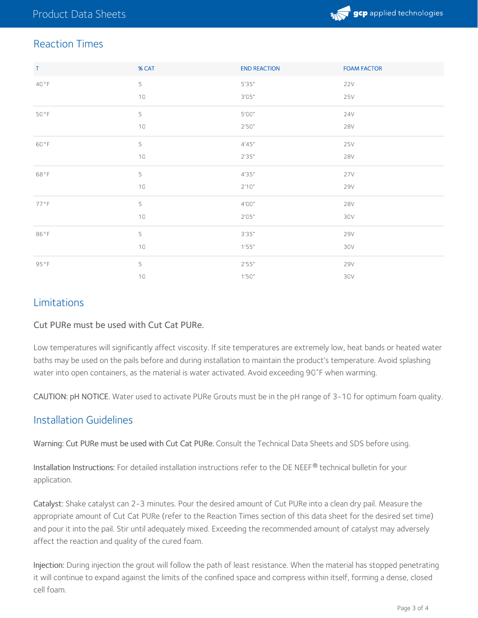

## Reaction Times

| $\mathsf{T}$ | % CAT | <b>END REACTION</b>           | <b>FOAM FACTOR</b> |
|--------------|-------|-------------------------------|--------------------|
| 40°F         | 5     | 5'35''                        | 22V                |
|              | 10    | $3^{\prime}05^{\prime\prime}$ | 25V                |
| 50°F         | 5     | 5'00"                         | 24V                |
|              | 10    | 2'50''                        | <b>28V</b>         |
| 60°F         | 5     | 4'45''                        | 25V                |
|              | 10    | 2'35''                        | 28V                |
| 68°F         | 5     | 4'35''                        | 27V                |
|              | 10    | 2'10''                        | 29V                |
| 77°F         | 5     | 4'00''                        | <b>28V</b>         |
|              | 10    | 2'05''                        | 30V                |
| 86°F         | 5     | 3'35''                        | <b>29V</b>         |
|              | 10    | 1'55''                        | 30V                |
| 95°F         | 5     | 2'55''                        | <b>29V</b>         |
|              | $10$  | 1'50''                        | 30V                |

#### Limitations

#### Cut PURe must be used with Cut Cat PURe.

Low temperatures will significantly affect viscosity. If site temperatures are extremely low, heat bands or heated water baths may be used on the pails before and during installation to maintain the product's temperature. Avoid splashing water into open containers, as the material is water activated. Avoid exceeding 90˚F when warming.

CAUTION: pH NOTICE. Water used to activate PURe Grouts must be in the pH range of 3-10 for optimum foam quality.

#### Installation Guidelines

Warning: Cut PURe must be used with Cut Cat PURe. Consult the Technical Data Sheets and SDS before using.

Installation Instructions: For detailed installation instructions refer to the DE NEEF $^\circledR$  technical bulletin for your application.

Catalyst: Shake catalyst can 2-3 minutes. Pour the desired amount of Cut PURe into a clean dry pail. Measure the appropriate amount of Cut Cat PURe (refer to the Reaction Times section of this data sheet for the desired set time) and pour it into the pail. Stir until adequately mixed. Exceeding the recommended amount of catalyst may adversely affect the reaction and quality of the cured foam.

Injection: During injection the grout will follow the path of least resistance. When the material has stopped penetrating it will continue to expand against the limits of the confined space and compress within itself, forming a dense, closed cell foam.